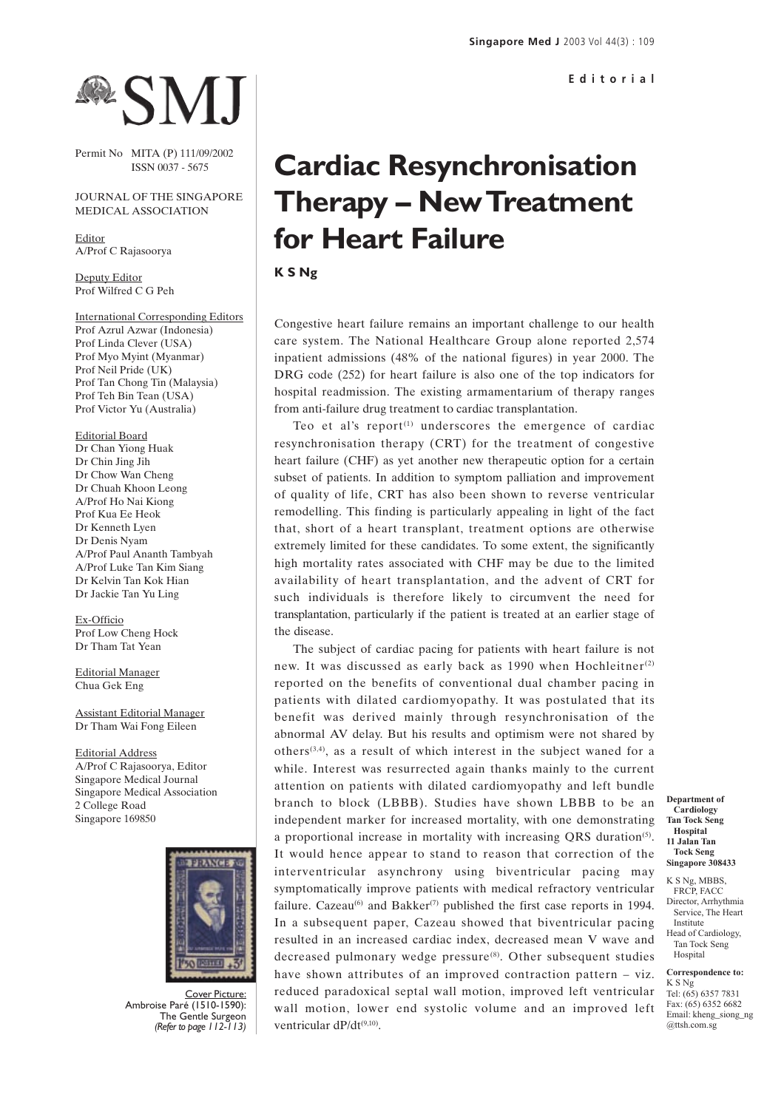## **RSM**

Permit No MITA (P) 111/09/2002 ISSN 0037 - 5675

## JOURNAL OF THE SINGAPORE MEDICAL ASSOCIATION

Editor A/Prof C Rajasoorya

Deputy Editor Prof Wilfred C G Peh

International Corresponding Editors Prof Azrul Azwar (Indonesia) Prof Linda Clever (USA) Prof Myo Myint (Myanmar) Prof Neil Pride (UK) Prof Tan Chong Tin (Malaysia) Prof Teh Bin Tean (USA) Prof Victor Yu (Australia)

Editorial Board Dr Chan Yiong Huak Dr Chin Jing Jih Dr Chow Wan Cheng Dr Chuah Khoon Leong A/Prof Ho Nai Kiong Prof Kua Ee Heok Dr Kenneth Lyen Dr Denis Nyam A/Prof Paul Ananth Tambyah A/Prof Luke Tan Kim Siang Dr Kelvin Tan Kok Hian Dr Jackie Tan Yu Ling

Ex-Officio Prof Low Cheng Hock Dr Tham Tat Yean

Editorial Manager Chua Gek Eng

Assistant Editorial Manager Dr Tham Wai Fong Eileen

Editorial Address A/Prof C Rajasoorya, Editor Singapore Medical Journal Singapore Medical Association 2 College Road Singapore 169850



Cover Picture: Ambroise Paré (1510-1590): The Gentle Surgeon *(Refer to page 112-113)*

## **Cardiac Resynchronisation Therapy – New Treatment for Heart Failure**

**K S Ng**

Congestive heart failure remains an important challenge to our health care system. The National Healthcare Group alone reported 2,574 inpatient admissions (48% of the national figures) in year 2000. The DRG code (252) for heart failure is also one of the top indicators for hospital readmission. The existing armamentarium of therapy ranges from anti-failure drug treatment to cardiac transplantation.

Teo et al's report $(1)$  underscores the emergence of cardiac resynchronisation therapy (CRT) for the treatment of congestive heart failure (CHF) as yet another new therapeutic option for a certain subset of patients. In addition to symptom palliation and improvement of quality of life, CRT has also been shown to reverse ventricular remodelling. This finding is particularly appealing in light of the fact that, short of a heart transplant, treatment options are otherwise extremely limited for these candidates. To some extent, the significantly high mortality rates associated with CHF may be due to the limited availability of heart transplantation, and the advent of CRT for such individuals is therefore likely to circumvent the need for transplantation, particularly if the patient is treated at an earlier stage of the disease.

The subject of cardiac pacing for patients with heart failure is not new. It was discussed as early back as 1990 when Hochleitner<sup>(2)</sup> reported on the benefits of conventional dual chamber pacing in patients with dilated cardiomyopathy. It was postulated that its benefit was derived mainly through resynchronisation of the abnormal AV delay. But his results and optimism were not shared by others<sup>(3,4)</sup>, as a result of which interest in the subject waned for a while. Interest was resurrected again thanks mainly to the current attention on patients with dilated cardiomyopathy and left bundle branch to block (LBBB). Studies have shown LBBB to be an independent marker for increased mortality, with one demonstrating a proportional increase in mortality with increasing QRS duration<sup>(5)</sup>. It would hence appear to stand to reason that correction of the interventricular asynchrony using biventricular pacing may symptomatically improve patients with medical refractory ventricular failure. Cazeau<sup>(6)</sup> and Bakker<sup>(7)</sup> published the first case reports in 1994. In a subsequent paper, Cazeau showed that biventricular pacing resulted in an increased cardiac index, decreased mean V wave and decreased pulmonary wedge pressure<sup>(8)</sup>. Other subsequent studies have shown attributes of an improved contraction pattern – viz. reduced paradoxical septal wall motion, improved left ventricular wall motion, lower end systolic volume and an improved left ventricular dP/dt<sup>(9,10)</sup>.

**Department of Cardiology Tan Tock Seng Hospital 11 Jalan Tan Tock Seng Singapore 308433**

K S Ng, MBBS, FRCP, FACC Director, Arrhythmia Service, The Heart Institute Head of Cardiology,

Tan Tock Seng Hospital

**Correspondence to:** K S Ng Tel: (65) 6357 7831

Fax: (65) 6352 6682 Email: kheng\_siong\_ng @ttsh.com.sg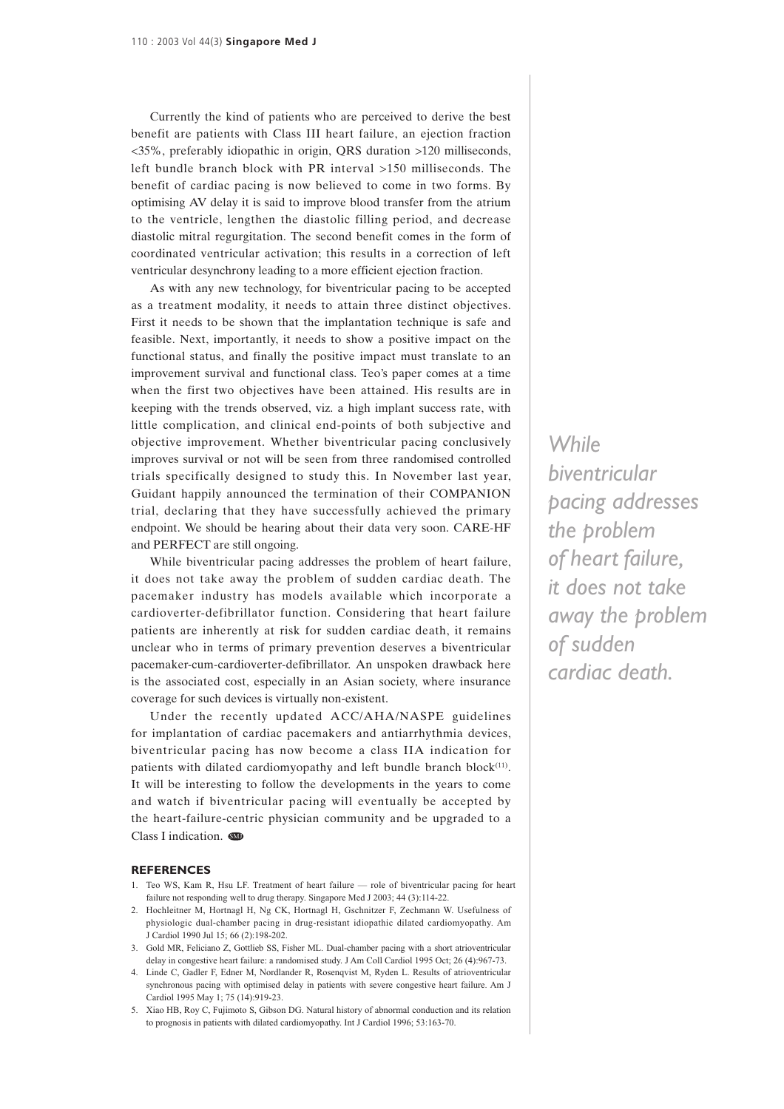Currently the kind of patients who are perceived to derive the best benefit are patients with Class III heart failure, an ejection fraction <35%, preferably idiopathic in origin, QRS duration >120 milliseconds, left bundle branch block with PR interval >150 milliseconds. The benefit of cardiac pacing is now believed to come in two forms. By optimising AV delay it is said to improve blood transfer from the atrium to the ventricle, lengthen the diastolic filling period, and decrease diastolic mitral regurgitation. The second benefit comes in the form of coordinated ventricular activation; this results in a correction of left ventricular desynchrony leading to a more efficient ejection fraction.

As with any new technology, for biventricular pacing to be accepted as a treatment modality, it needs to attain three distinct objectives. First it needs to be shown that the implantation technique is safe and feasible. Next, importantly, it needs to show a positive impact on the functional status, and finally the positive impact must translate to an improvement survival and functional class. Teo's paper comes at a time when the first two objectives have been attained. His results are in keeping with the trends observed, viz. a high implant success rate, with little complication, and clinical end-points of both subjective and objective improvement. Whether biventricular pacing conclusively improves survival or not will be seen from three randomised controlled trials specifically designed to study this. In November last year, Guidant happily announced the termination of their COMPANION trial, declaring that they have successfully achieved the primary endpoint. We should be hearing about their data very soon. CARE-HF and PERFECT are still ongoing.

While biventricular pacing addresses the problem of heart failure, it does not take away the problem of sudden cardiac death. The pacemaker industry has models available which incorporate a cardioverter-defibrillator function. Considering that heart failure patients are inherently at risk for sudden cardiac death, it remains unclear who in terms of primary prevention deserves a biventricular pacemaker-cum-cardioverter-defibrillator. An unspoken drawback here is the associated cost, especially in an Asian society, where insurance coverage for such devices is virtually non-existent.

Under the recently updated ACC/AHA/NASPE guidelines for implantation of cardiac pacemakers and antiarrhythmia devices, biventricular pacing has now become a class IIA indication for patients with dilated cardiomyopathy and left bundle branch block<sup>(11)</sup>. It will be interesting to follow the developments in the years to come and watch if biventricular pacing will eventually be accepted by the heart-failure-centric physician community and be upgraded to a Class I indication.  $\blacksquare$ 

## **REFERENCES**

- 1. Teo WS, Kam R, Hsu LF. Treatment of heart failure role of biventricular pacing for heart failure not responding well to drug therapy. Singapore Med J 2003; 44 (3):114-22.
- 2. Hochleitner M, Hortnagl H, Ng CK, Hortnagl H, Gschnitzer F, Zechmann W. Usefulness of physiologic dual-chamber pacing in drug-resistant idiopathic dilated cardiomyopathy. Am J Cardiol 1990 Jul 15; 66 (2):198-202.
- 3. Gold MR, Feliciano Z, Gottlieb SS, Fisher ML. Dual-chamber pacing with a short atrioventricular delay in congestive heart failure: a randomised study. J Am Coll Cardiol 1995 Oct; 26 (4):967-73.
- 4. Linde C, Gadler F, Edner M, Nordlander R, Rosenqvist M, Ryden L. Results of atrioventricular synchronous pacing with optimised delay in patients with severe congestive heart failure. Am J Cardiol 1995 May 1; 75 (14):919-23.
- 5. Xiao HB, Roy C, Fujimoto S, Gibson DG. Natural history of abnormal conduction and its relation to prognosis in patients with dilated cardiomyopathy. Int J Cardiol 1996; 53:163-70.

*While biventricular pacing addresses the problem of heart failure, it does not take away the problem of sudden cardiac death.*